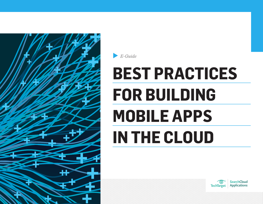<span id="page-0-0"></span>

B-Guide

# **BEST PRACTICES FOR BUILDING MOBILE APPS IN THE CLOUD**

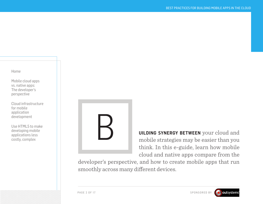[Mobile cloud apps](#page-2-0)  [vs. native apps:](#page-2-0)  [The developer's](#page-2-0)  [perspective](#page-2-0)

[Cloud infrastructure](#page-5-0)  [for mobile](#page-5-0)  [application](#page-5-0)  [development](#page-5-0)

[Use HTML5 to make](#page-10-0)  [developing mobile](#page-10-0)  [applications less](#page-10-0)  [costly, complex](#page-10-0)



**uilding synergy between** your cloud and mobile strategies may be easier than you think. In this e-guide, learn how mobile cloud and native apps compare from the

developer's perspective, and how to create mobile apps that run smoothly across many different devices.

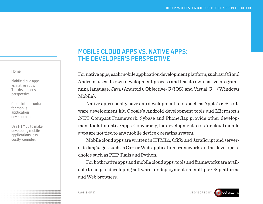<span id="page-2-0"></span>Mobile cloud apps vs. native apps: The developer's perspective

[Cloud infrastructure](#page-5-0)  [for mobile](#page-5-0)  [application](#page-5-0)  [development](#page-5-0)

[Use HTML5 to make](#page-10-0)  [developing mobile](#page-10-0)  [applications less](#page-10-0)  [costly, complex](#page-10-0)

# MOBILE CLOUD APPS VS. NATIVE APPS: THE DEVELOPER'S PERSPECTIVE

For native apps, each mobile application development platform, such as iOS and Android, uses its own development process and has its own native programming language: Java (Android), Objective-C (iOS) and [Visual C++\(](http://msdn.microsoft.com/en-us/library/60k1461a.aspx)Windows Mobile).

Native apps usually have [app development tools](http://searchcloudapplications.techtarget.com/tip/Mobile-app-development-tools-to-improve-user-experience) such as [Apple's iOS soft](http://searchcloudapplications.techtarget.com/feature/Mobile%20cloud%20apps%20vs.%20native%20apps:%20The%20developer)[ware development kit,](http://searchcloudapplications.techtarget.com/feature/Mobile%20cloud%20apps%20vs.%20native%20apps:%20The%20developer)  Google's Android development tools and Microsoft's .NET Compact Framework. Sybase and PhoneGap provide other development tools for native apps. Conversely, the [development tools for cloud mobile](http://searchconsumerization.techtarget.com/news/2240187120/Mobile-app-development-tools-improving-to-meet-IT-demands)  [apps](http://searchconsumerization.techtarget.com/news/2240187120/Mobile-app-development-tools-improving-to-meet-IT-demands) are not tied to any mobile device operating system.

Mobile cloud apps are written in HTML5, CSS3 and JavaScript and serverside languages such as C++ or Web application frameworks of the developer's choice such as PHP, Rails and Python.

For both native apps and mobile cloud apps, tools and frameworks are available to help in developing software for deployment on multiple OS platforms and Web browsers.

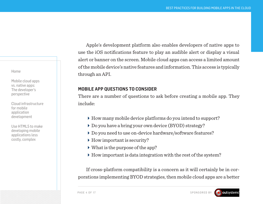[Mobile cloud apps](#page-2-0)  [vs. native apps:](#page-2-0)  [The developer's](#page-2-0)  [perspective](#page-2-0)

[Cloud infrastructure](#page-5-0)  [for mobile](#page-5-0)  [application](#page-5-0)  [development](#page-5-0)

[Use HTML5 to make](#page-10-0)  [developing mobile](#page-10-0)  [applications less](#page-10-0)  [costly, complex](#page-10-0)

Apple's development platform also enables developers of native apps to use the iOS notifications feature to play an audible alert or display a visual alert or banner on the screen. Mobile cloud apps can access a limited amount of the mobile device's native features and information. This access is typically through an API.

# **MOBILE APP QUESTIONS TO CONSIDER**

There are a number of questions to ask before creating a mobile app. They include:

- How many mobile device platforms do you intend to support?
- Do you have a [bring your own device](http://searchconsumerization.techtarget.com/definition/BYOD-policy) (BYOD) strategy?
- Do you need to use on-device hardware/software features?
- ▶ How important is security?
- What is the purpose of the app?
- $\blacktriangleright$  How important is data integration with the rest of the system?

If cross-platform compatibility is a concern as it will certainly be in corporations implementing BYOD strategies, then mobile cloud apps are a better

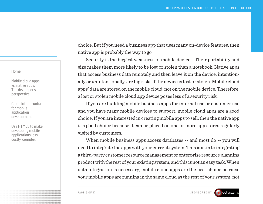[Mobile cloud apps](#page-2-0)  [vs. native apps:](#page-2-0)  [The developer's](#page-2-0)  [perspective](#page-2-0)

[Cloud infrastructure](#page-5-0)  [for mobile](#page-5-0)  [application](#page-5-0)  [development](#page-5-0)

[Use HTML5 to make](#page-10-0)  [developing mobile](#page-10-0)  [applications less](#page-10-0)  [costly, complex](#page-10-0)

choice. But if you need a business app that uses many on-device features, then native app is probably the way to go.

[Security is the biggest weakness](http://searchconsumerization.techtarget.com/tip/Mobile-application-security-best-practices-Leveraging-MDM-MAM-tools) of mobile devices. Their portability and size makes them more likely to be lost or stolen than a notebook. Native apps that access business data remotely and then leave it on the device, intentionally or unintentionally, are big risks if the device is lost or stolen. Mobile cloud apps' data are stored on the mobile cloud, not on the mobile device. Therefore, a lost or stolen mobile cloud app device poses less of a security risk.

If you are building mobile business apps for internal use or customer use and you have many mobile devices to support, mobile cloud apps are a good choice. If you are interested in creating mobile apps to sell, then the native app is a good choice because it can be placed on one or more app stores regularly visited by customers.

When mobile business apps access databases -- and most do -- you will need to integrate the apps with your current system. This is akin to integrating a third-party customer resource management or enterprise resource planning product with the rest of your existing system, and this is not an easy task. When data integration is necessary, mobile cloud apps are the best choice because your mobile apps are running in the same cloud as the rest of your system, not

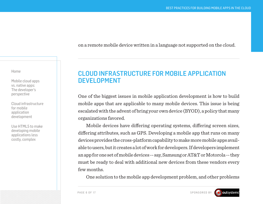on a remote mobile device written in a language not supported on the cloud.

<span id="page-5-0"></span>[Home](#page-0-0)

[Mobile cloud apps](#page-2-0)  [vs. native apps:](#page-2-0)  [The developer's](#page-2-0)  [perspective](#page-2-0)

Cloud infrastructure for mobile application development

[Use HTML5 to make](#page-10-0)  [developing mobile](#page-10-0)  [applications less](#page-10-0)  [costly, complex](#page-10-0)

# [CLOUD INFRASTRUCTURE FOR MOBILE APPLICATION](http://searchcloudapplications.techtarget.com/tutorial/Cloud-infrastructure-for-mobile-application-development)  [DEVELOPMENT](http://searchcloudapplications.techtarget.com/tutorial/Cloud-infrastructure-for-mobile-application-development)

One of the biggest issues in [mobile application development](http://searchcloudapplications.techtarget.com/resources/Mobile-cloud-computing-application-strategy) is how to build mobile apps that are applicable to many mobile devices. This issue is being escalated with the advent of bring your own device ([BYOD](http://searchconsumerization.techtarget.com/definition/BYOD-policy)), a policy that many organizations favored.

Mobile devices have differing operating systems, differing screen sizes, differing attributes, such as GPS. [Developing a mobile app](http://itknowledgeexchange.techtarget.com/cloud-applications/soastas-lounibos-talks-ios6-mobile-predictions/) that runs on many devices provides the cross-platform capability to make more mobile apps available to users, but it creates a lot of work for developers. If developers implement an app for one set of mobile devices -- say, Samsung or AT&T or Motorola -- they must be ready to deal with additional new devices from these vendors every few months.

One solution to the [mobile app development](http://searchsap.techtarget.com/news/2240164623/Mobility-now-the-starting-place-for-SAP-application-development) problem, and [other problems](http://searchsoftwarequality.techtarget.com/news/2240180784/Mobile-software-lifecycle-The-closer-you-look-the-more-see)



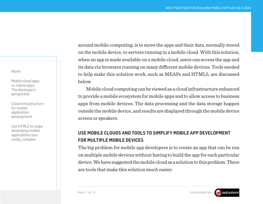[Mobile cloud apps](#page-2-0)  [vs. native apps:](#page-2-0)  [The developer's](#page-2-0)  [perspective](#page-2-0)

[Cloud infrastructure](#page-5-0)  [for mobile](#page-5-0)  [application](#page-5-0)  [development](#page-5-0)

[Use HTML5 to make](#page-10-0)  [developing mobile](#page-10-0)  [applications less](#page-10-0)  [costly, complex](#page-10-0)

[around mobile computing,](http://searchsoftwarequality.techtarget.com/news/2240180784/Mobile-software-lifecycle-The-closer-you-look-the-more-see) is to move the apps and their data, normally stored on the mobile device, to servers running in a mobile cloud. With this solution, when an app is made available on a mobile cloud, users can access the app and its data via browsers running on many different mobile devices. Tools needed to help make this solution work, such as [MEAPs](http://searchconsumerization.techtarget.com/definition/mobile-enterprise-application-platform-MEAP) and [HTML5,](http://itknowledgeexchange.techtarget.com/software-quality/tag/html5/) are discussed below.

[Mobile cloud computing](http://searchmobilecomputing.techtarget.com/) can be viewed as a [cloud infrastructure](http://searchcio-midmarket.techtarget.com/video/Engaging-with-Infrastructure-as-a-Service-providers-Advice-for-SMBs) enhanced to provide a [mobile ecosystem for mobile apps](http://searchcio-midmarket.techtarget.com/news/2240175717/Optimize-and-tune-your-business-to-the-mobile-channel) and to allow access to business apps from mobile devices. The data processing and the data storage happen outside the mobile device, and results are displayed through the mobile device screen or speakers.

# **USE MOBILE CLOUDS AND TOOLS TO SIMPLIFY MOBILE APP DEVELOPMENT FOR MULTIPLE MOBILE DEVICES**

The big problem for [mobile app developers](http://searchcloudapplications.techtarget.com/news/2240166102/Red-Hat-Zend-partner-to-spur-enterprise-PHP-development) is to create an app that can be run on multiple mobile devices without having to build the app for each particular device. We have suggested the mobile cloud as a solution to this problem. There are tools that make this solution much easier.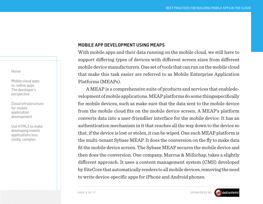[Mobile cloud apps](#page-2-0)  [vs. native apps:](#page-2-0)  [The developer's](#page-2-0)  [perspective](#page-2-0)

[Cloud infrastructure](#page-5-0)  [for mobile](#page-5-0)  [application](#page-5-0)  [development](#page-5-0)

[Use HTML5 to make](#page-10-0)  [developing mobile](#page-10-0)  [applications less](#page-10-0)  [costly, complex](#page-10-0)

## **MOBILE APP DEVELOPMENT USING MEAPS**

With [mobile apps](http://searchsap.techtarget.com/feature/Food-bank-network-delivers-with-SAP-mobility) and their data running on the mobile cloud, we still have to support differing types of devices with different screen sizes from different mobile device manufacturers. One set of tools that can run on the mobile cloud that make this task easier are referred to as [Mobile Enterprise Application](http://searchcloudapplications.techtarget.com/tip/Using-a-MEAP-to-develop-mobile-applications)  [Platforms](http://searchcloudapplications.techtarget.com/tip/Using-a-MEAP-to-develop-mobile-applications) (MEAPs).

A MEAP is a comprehensive suite of products and services that enabl[ede](http://searchcio.techtarget.com/answer/How-should-CIOs-evolve-the-development-culture-to-suit-mobile-app-dev)[velopment of mobile applications.](http://searchcio.techtarget.com/answer/How-should-CIOs-evolve-the-development-culture-to-suit-mobile-app-dev) MEAP platforms do some things[specifically](http://searchconsumerization.techtarget.com/tip/MEAPs-losing-ground-to-other-mobile-app-dev-options) [for mobile devices,](http://searchconsumerization.techtarget.com/tip/MEAPs-losing-ground-to-other-mobile-app-dev-options) such as make sure that the data sent to the mobile device from the mobile cloud fits on the mobile device screen. A MEAP's platform converts data into a user-friendlier interface for the mobile device. It has an authentication mechanism in it that reaches all the way down to the device so that, if the device is lost or stolen, it can be wiped. One such MEAP platform is the multi-tenant Sybase MEAP. It does the conversion on the fly to make data fit the mobile device screen. The Sybase MEAP secures the mobile device and then does the conversion. One company, [Marcus & Millichap](http://www.marcusmillichap.com/), takes a slightly different approach. It uses a content management system (CMS) developed by [SiteCore](http://en.wikipedia.org/wiki/Sitecore) that automatically renders to all mobile devices, removing the need to write device-specific apps for iPhone and Android phones.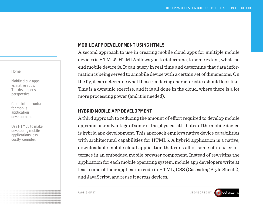[Mobile cloud apps](#page-2-0)  [vs. native apps:](#page-2-0)  [The developer's](#page-2-0)  [perspective](#page-2-0)

[Cloud infrastructure](#page-5-0)  [for mobile](#page-5-0)  [application](#page-5-0)  [development](#page-5-0)

[Use HTML5 to make](#page-10-0)  [developing mobile](#page-10-0)  [applications less](#page-10-0)  [costly, complex](#page-10-0)

# **MOBILE APP DEVELOPMENT USING HTML5**

A second approach to use in creating mobile cloud apps for multiple [mobile](http://searchcloudapplications.techtarget.com/tip/Use-HTML5-to-make-developing-mobile-applications-less-costly-complex) [devices is HTML5.](http://searchcloudapplications.techtarget.com/tip/Use-HTML5-to-make-developing-mobile-applications-less-costly-complex) HTML5 allows you to determine, to some extent, what the end mobile device is. It can query in real time and determine that data information is being served to a mobile device with a certain set of dimensions. On the fly, it can determine what those rendering characteristics should look like. This is a dynamic exercise, and it is all done in the cloud, where there is a lot more processing power (and it is needed).

## **[HYBRID MOBILE APP DEVELOPMENT](http://searchmobilecomputing.techtarget.com/definition/hybrid-mobile-app)**

A third approach to reducing the amount of effort required to [develop mobile](http://searchconsumerization.techtarget.com/tip/Top-11-mobile-app-definitions) [apps](http://searchconsumerization.techtarget.com/tip/Top-11-mobile-app-definitions) and take advantage of some of the physical attributes of the mobile device is hybrid app development. This approach employs native device capabilities with architectural capabilities for HTML5. A hybrid application is a native, downloadable mobile cloud application that runs all or some of its user interface in an embedded mobile browser component. Instead of rewriting the application for each mobile operating system, mobile app developers write at least some of their application code in HTML, CSS (Cascading Style Sheets), and JavaScript, and reuse it across devices.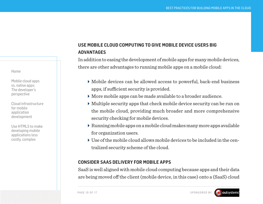[Mobile cloud apps](#page-2-0)  [vs. native apps:](#page-2-0)  [The developer's](#page-2-0)  [perspective](#page-2-0)

[Cloud infrastructure](#page-5-0)  [for mobile](#page-5-0)  [application](#page-5-0)  [development](#page-5-0)

[Use HTML5 to make](#page-10-0)  [developing mobile](#page-10-0)  [applications less](#page-10-0)  [costly, complex](#page-10-0)

# **USE MOBILE CLOUD COMPUTING TO GIVE MOBILE DEVICE USERS BIG ADVANTAGES**

In addition to easing the development of mobile apps for many mobile devices, there are other advantages to running mobile apps on a mobile cloud:

- Mobile devices can be allowed access to powerful, back-end business apps, if sufficient security is provided.
- More mobile apps can be made available to a broader audience.
- Multiple security apps that check mobile device security can be run on the mobile cloud, providing much broader and more comprehensive security checking for mobile devices.
- Running mobile apps on a mobile cloud makes many more apps available for organization users.
- $\blacktriangleright$  Use of the mobile cloud allows mobile devices to be included in the centralized security scheme of the cloud.

## **CONSIDER SAAS DELIVERY FOR MOBILE APPS**

SaaS is well aligned with mobile cloud computing because apps and their data are being moved off the client (mobile device, in this case) onto a (SaaS) cloud

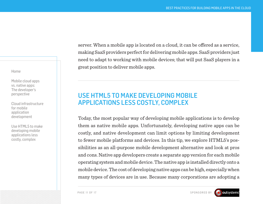<span id="page-10-0"></span>[Mobile cloud apps](#page-2-0)  [vs. native apps:](#page-2-0)  [The developer's](#page-2-0)  [perspective](#page-2-0)

[Cloud infrastructure](#page-5-0)  [for mobile](#page-5-0)  [application](#page-5-0)  [development](#page-5-0)

Use HTML5 to make developing mobile applications less costly, complex

server. When a mobile app is located on a cloud, it can be offered as a service, making SaaS providers perfect for delivering mobile apps. SaaS providers just need to adapt to working with mobile devices; that will put SaaS players in a great position to deliver mobile apps.

# [USE HTML5 TO MAKE DEVELOPING MOBILE](http://searchcloudapplications.techtarget.com/tip/Use-HTML5-to-make-developing-mobile-applications-less-costly-complex)  [APPLICATIONS LESS COSTLY, COMPLEX](http://searchcloudapplications.techtarget.com/tip/Use-HTML5-to-make-developing-mobile-applications-less-costly-complex)

Today, the most popular way of developing [mobile applications](http://searchsap.techtarget.com/feature/Food-bank-network-delivers-with-SAP-mobility) is to develop them as native mobile apps. Unfortunately, developing native apps can be costly, and native development can limit options by limiting development to fewer mobile platforms and devices. In this tip, we [explore HTML5'](http://searchsoa.techtarget.com/quiz/HTML5-quiz-What-do-you-know-about-HyperText-Markup-Language)s possibilities as an all-purpose [mobile development](http://searchcloudapplications.techtarget.com/answer/How-do-we-choose-a-mobile-development-platform) alternative and look at pros and cons. Native app developers create a separate app version for each mobile operating system and mobile device. The native app is installed directly onto a mobile device. The cost of developing native apps can be high, especially when many types of devices are in use. Because many corporations are adopting a

PAGE 11 OF 17 SPONSORED BY

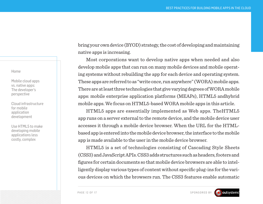[Mobile cloud apps](#page-2-0)  [vs. native apps:](#page-2-0)  [The developer's](#page-2-0)  [perspective](#page-2-0)

[Cloud infrastructure](#page-5-0)  [for mobile](#page-5-0)  [application](#page-5-0)  [development](#page-5-0)

[Use HTML5 to make](#page-10-0)  [developing mobile](#page-10-0)  [applications less](#page-10-0)  [costly, complex](#page-10-0)

bring your own device [\(BYOD\)](http://whatis.techtarget.com/definition/BYOD-bring-your-own-device) strategy, the cost of developing and maintaining native apps is increasing.

Most corporations want to develop native apps when needed and also develop mobile apps that can run on many mobile devices and mobile operating systems without rebuilding the app for each device and operating system. These apps are referred to as "write once, run anywhere" (WORA) mobile apps. There are at least three technologies that give varying degrees of WORA mobile apps: mobile enterprise application platforms (MEAPs), [HTML5](http://searchcontentmanagement.techtarget.com/answer/How-is-HTML5-shaping-Web-experiences) and[hybrid](http://searchcloudapplications.techtarget.com/tip/Mobile-application-developers-debate-hybrid-solutions) [mobile apps](http://searchcloudapplications.techtarget.com/tip/Mobile-application-developers-debate-hybrid-solutions). We focus on HTML5-based WORA mobile apps in this article.

[HTML5 apps](http://searchsoa.techtarget.com/tutorial/HTML5-guide)  are essentially implemented as Web apps. Th[eHTML5](http://searchwindevelopment.techtarget.com/tip/Native-versus-JavaScript-HTML5-development-for-Window-8-apps) [app](http://searchwindevelopment.techtarget.com/tip/Native-versus-JavaScript-HTML5-development-for-Window-8-apps) runs on a server external to the remote device, and the mobile device user accesses it through a mobile device browser. When the URL for the HTMLbased app is entered into the mobile device browser, the interface to the mobile app is made available to the user in the mobile device browser.

HTML5 is a set of technologies consisting of Cascading Style Sheets (CSS3) and JavaScript APIs. CSS3 adds structures such as headers, footers and figures for certain documents so that mobile device browsers are able to intelligently display various types of content without specific plug-ins for the various devices on which the browsers run. The CSS3 features enable automatic

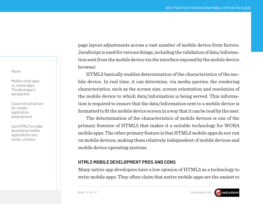[Mobile cloud apps](#page-2-0)  [vs. native apps:](#page-2-0)  [The developer's](#page-2-0)  [perspective](#page-2-0)

[Cloud infrastructure](#page-5-0)  [for mobile](#page-5-0)  [application](#page-5-0)  [development](#page-5-0)

[Use HTML5 to make](#page-10-0)  [developing mobile](#page-10-0)  [applications less](#page-10-0)  [costly, complex](#page-10-0)

page layout adjustments across a vast number of mobile device form factors. JavaScript is used for various things, including the validation of data/information sent from the mobile device via the interface exposed by the mobile device browser.

HTML5 basically enables determination of the characteristics of the mobile device. In real time, it can determine, via media queries, the rendering characteristics, such as the screen size, screen orientation and resolution of the mobile device to which data/information is being served. This information is required to ensure that the data/information sent to a mobile device is formatted to fit the mobile device screen in a way that it can be read by the user.

The determination of the characteristics of mobile devices is one of the primary features of HTML5 that makes it a suitable technology for WORA mobile apps. The other primary feature is that [HTML5 mobile apps](http://searchvirtualdesktop.techtarget.com/tip/The-ins-and-outs-of-a-good-HTML5-client) do not run on mobile devices, making them relatively independent of mobile devices and mobile device operating systems.

## **HTML5 MOBILE DEVELOPMENT PROS AND CONS**

Many native app developers have a low opinion of HTML5 as a technology to write mobile apps. They often claim that native mobile apps are the easiest to



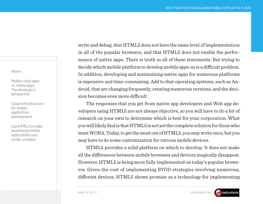[Mobile cloud apps](#page-2-0)  [vs. native apps:](#page-2-0)  [The developer's](#page-2-0)  [perspective](#page-2-0)

[Cloud infrastructure](#page-5-0)  [for mobile](#page-5-0)  [application](#page-5-0)  [development](#page-5-0)

[Use HTML5 to make](#page-10-0)  [developing mobile](#page-10-0)  [applications less](#page-10-0)  [costly, complex](#page-10-0)

write and debug, that HTML5 does not have the same level of implementation in all of the popular browsers, and that HTML5 does not enable the performance of native apps. There is truth in all of these statements. But trying to decide which mobile platform to develop mobile apps on is a difficult problem. In addition, developing and maintaining native apps for numerous platforms is expensive and time-consuming. Add to that operating systems, such as Android, that are changing frequently, creating numerous versions, and the decision becomes even more difficult.

The responses that you get from native app developers and Web app developers [using HTML5 a](http://searchmobilecomputing.techtarget.com/definition/HTML5-mobile-app)re not always objective, so you will have to do a bit of research on your own to determine which is best for your corporation. What you will likely find is that HTML5 is not yet the complete solution for those who want WORA. Today, to get the most out of HTML5, you may write once, but you may have to do some customization for various mobile devices.

HTML5 provides a solid platform on which to develop. It does not make all the differences between mobile browsers and devices magically disappear. However, HTML5 is being more fully implemented on today's popular browsers. Given the cost of implementing BYOD strategies involving numerous, different devices, HTML5 shows promise as a technology for implementing

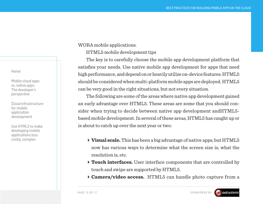[Mobile cloud apps](#page-2-0)  [vs. native apps:](#page-2-0)  [The developer's](#page-2-0)  [perspective](#page-2-0)

[Cloud infrastructure](#page-5-0)  [for mobile](#page-5-0)  [application](#page-5-0)  [development](#page-5-0)

[Use HTML5 to make](#page-10-0)  [developing mobile](#page-10-0)  [applications less](#page-10-0)  [costly, complex](#page-10-0)

WORA mobile applications.

HTML5 mobile development tips

The key is to carefully choose the mobile app development platform that satisfies your needs. Use native mobile app development for apps that need high performance, and depend on or heavily utilize on-device features. HTML5 should be considered when multi-platform mobile apps are deployed. HTML5 can be very good in the right situations, but not every situation.

The following are some of the areas where native app development gained an early advantage over HTML5. These areas are some that you should con-sider when trying to decide between native app development and [HTML5](http://searchsoa.techtarget.com/tip/Why-native-mobile-apps-are-better-than-HTML5-apps) [based mobile development.](http://searchsoa.techtarget.com/tip/Why-native-mobile-apps-are-better-than-HTML5-apps) In several of these areas, HTML5 has caught up or is about to catch up over the next year or two:

- **Visual scale.** This has been a big advantage of native apps, but HTML5 now has various ways to determine what the screen size is, what the resolution is, etc.
- **Touch interfaces.** User interface components that are controlled by touch and swipe are supported by HTML5.
- **Camera/video access.** HTML5 can handle photo capture from a

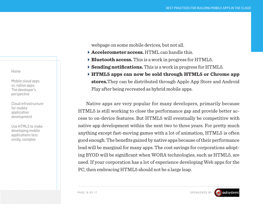[Mobile cloud apps](#page-2-0)  [vs. native apps:](#page-2-0)  [The developer's](#page-2-0)  [perspective](#page-2-0)

[Cloud infrastructure](#page-5-0)  [for mobile](#page-5-0)  [application](#page-5-0)  [development](#page-5-0)

[Use HTML5 to make](#page-10-0)  [developing mobile](#page-10-0)  [applications less](#page-10-0)  [costly, complex](#page-10-0)

webpage on some mobile devices, but not all.

- **Accelerometer access.** HTML can handle this.
- **Bluetooth access.** This is a work in progress for HTML5.
- **Sending notifications.** This is a work in progress for HTML5.
- **HTML5 apps can now be sold through HTML5 or Chrome app stores.**They can be distributed through Apple App Store and Android Play after being recreated as hybrid mobile apps.

Native apps are very popular for many developers, primarily because HTML5 is still working to close the performance gap and provide better access to on-device features. But HTML5 will eventually be competitive with native app development within the next two to three years. For pretty much anything except fast-moving games with a lot of animation, HTML5 is often good enough. The benefits gained by native apps because of their performance lead will be marginal for many apps. The cost savings for corporations adopting BYOD will be significant when WORA technologies, such as HTML5, are used. If your corporation has a lot of experience developing Web apps for the PC, then embracing HTML5 should not be a large leap.